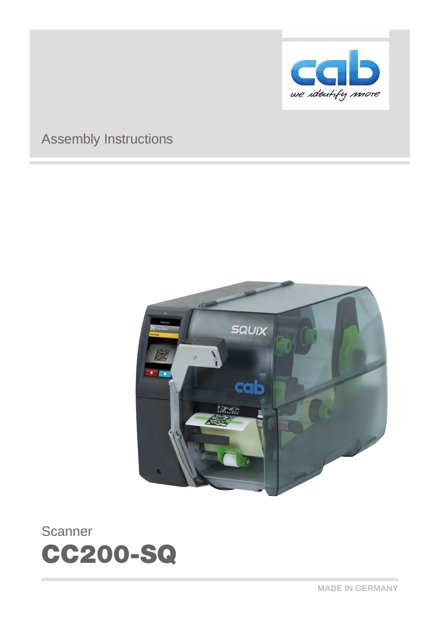

**MADE IN GERMANY**

cab

we identify more

# CC200-SQ



# Assembly Instructions

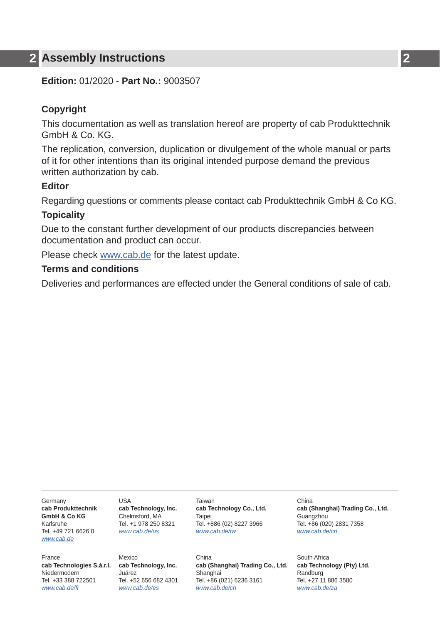### **2 Assembly Instructions 2**

**Edition:** 01/2020 - **Part No.:** 9003507

#### **Copyright**

This documentation as well as translation hereof are property of cab Produkttechnik GmbH & Co. KG.

The replication, conversion, duplication or divulgement of the whole manual or parts of it for other intentions than its original intended purpose demand the previous written authorization by cab.

#### **Editor**

Regarding questions or comments please contact cab Produkttechnik GmbH & Co KG.

#### **Topicality**

Due to the constant further development of our products discrepancies between documentation and product can occur.

Please check www.cab.de for the latest update.

#### **Terms and conditions**

Deliveries and performances are effected under the General conditions of sale of cab.

Germany **cab Produkttechnik GmbH & Co KG** Karlsruhe Tel. +49 721 6626 0 *[www.cab.de](http://www.cab.de)*

France

Niedermodern Tel. +33 388 722501 *[www.cab.de/fr](http://www.cab.de/fr)*

 $IISA$ **cab Technology, Inc.** Chelmsford, MA Tel. +1 978 250 8321 *[www.cab.de/us](http://www.cab.de/us)*

**cab Technologies S.à.r.l. cab Technology, Inc.** Mexico Juárez Tel. +52 656 682 4301 *[www.cab.de/es](http://www.cab.de/es)*

Taiwan **cab Technology Co., Ltd.** Taipei Tel. +886 (02) 8227 3966 *[www.cab.de/tw](http://www.cab.de/tw)*

China **cab (Shanghai) Trading Co., Ltd. cab Technology (Pty) Ltd.** Shanghai Tel. +86 (021) 6236 3161 *[www.cab.de/cn](http://www.cab.de/cn)*

China **cab (Shanghai) Trading Co., Ltd. Guangzhou** Tel. +86 (020) 2831 7358 *[www.cab.de/cn](http://www.cab.de/cn)*

South Africa Randburg Tel. +27 11 886 3580 *[www.cab.de/za](http://www.cab.de/za)*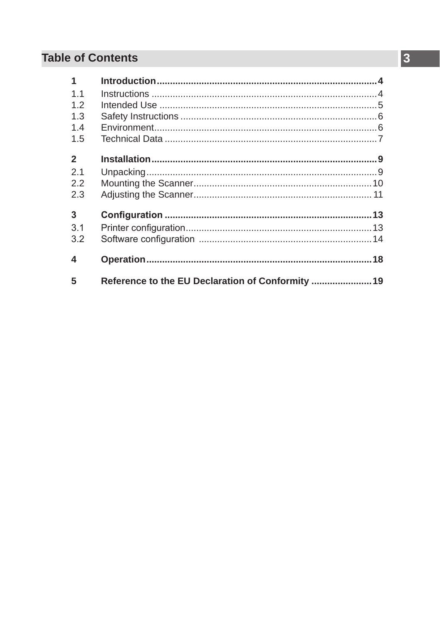# **Table of Contents**

| Reference to the EU Declaration of Conformity  19 |  |
|---------------------------------------------------|--|
|                                                   |  |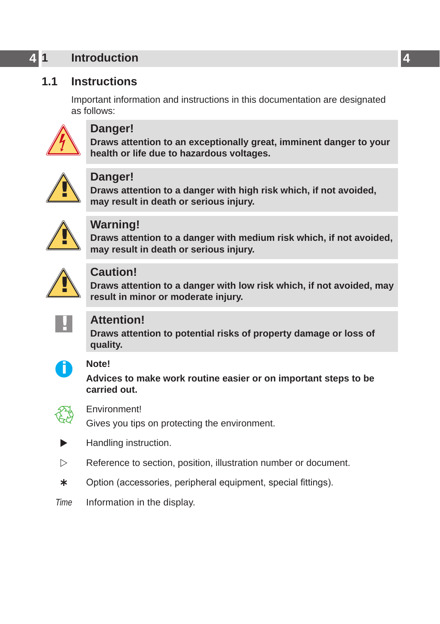# <span id="page-3-0"></span>**4 1 Introduction 4**

# **1.1 Instructions**

<span id="page-3-1"></span>Important information and instructions in this documentation are designated as follows:



### **Danger!**

**Draws attention to an exceptionally great, imminent danger to your health or life due to hazardous voltages.**



**Danger!**<br> **Draws attention to a danger with high risk which, if not avoided,<br>
may result in death or serious injury may result in death or serious injury.**



**Warning!**<br>
Draws attention to a danger with medium risk which, if not avoided,<br>
may result in death or serious injury **may result in death or serious injury.**



### **Caution!**

**Draws attention to a danger with low risk which, if not avoided, may result in minor or moderate injury.**



**! Attention! Draws attention to potential risks of property damage or loss of quality.**



# **i Note!**

**Advices to make work routine easier or on important steps to be carried out.**



Environment!<br>Gives you tips on protecting the environment.

- Handling instruction.
- $\triangleright$  Reference to section, position, illustration number or document.
- \* Option (accessories, peripheral equipment, special fittings).
- *Time* Information in the display.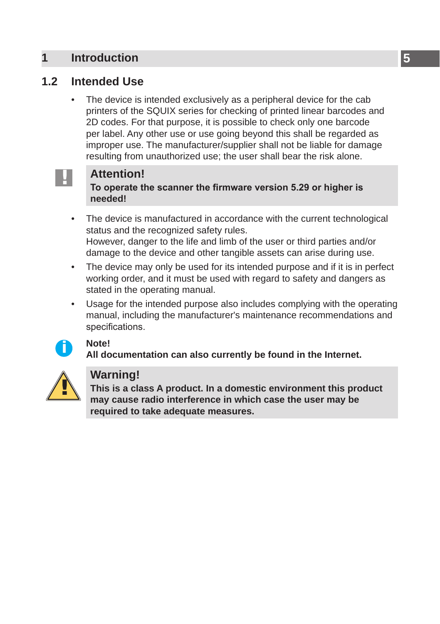### <span id="page-4-0"></span>**1 [Introduction](#page-3-1) 5**

# **1.2 Intended Use**

The device is intended exclusively as a peripheral device for the cab printers of the SQUIX series for checking of printed linear barcodes and 2D codes. For that purpose, it is possible to check only one barcode per label. Any other use or use going beyond this shall be regarded as improper use. The manufacturer/supplier shall not be liable for damage resulting from unauthorized use; the user shall bear the risk alone.



**! Attention! To operate the scanner the firmware version 5.29 or higher is needed!**

The device is manufactured in accordance with the current technological status and the recognized safety rules. However, danger to the life and limb of the user or third parties and/or damage to the device and other tangible assets can arise during use.

- The device may only be used for its intended purpose and if it is in perfect working order, and it must be used with regard to safety and dangers as stated in the operating manual.
- Usage for the intended purpose also includes complying with the operating manual, including the manufacturer's maintenance recommendations and specifications.



**i Note! All documentation can also currently be found in the Internet.**



**Warning!**<br>
This is a class A product. In a domestic environment this product<br>
may cause radio interference in which case the user may be **may cause radio interference in which case the user may be required to take adequate measures.**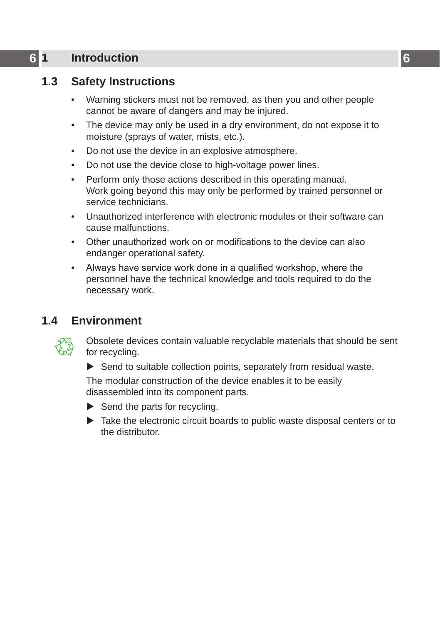# <span id="page-5-0"></span>**6 1 [Introduction](#page-3-1) 6**

# **1.3 Safety Instructions**

- Warning stickers must not be removed, as then you and other people cannot be aware of dangers and may be injured.
- The device may only be used in a dry environment, do not expose it to moisture (sprays of water, mists, etc.).
- Do not use the device in an explosive atmosphere.
- Do not use the device close to high-voltage power lines.
- Perform only those actions described in this operating manual. Work going beyond this may only be performed by trained personnel or service technicians.
- Unauthorized interference with electronic modules or their software can cause malfunctions.
- Other unauthorized work on or modifications to the device can also endanger operational safety.
- Always have service work done in a qualified workshop, where the personnel have the technical knowledge and tools required to do the necessary work.

## **1.4 Environment**



Obsolete devices contain valuable recyclable materials that should be sent for recycling.

 $\triangleright$  Send to suitable collection points, separately from residual waste.

The modular construction of the device enables it to be easily disassembled into its component parts.

- $\triangleright$  Send the parts for recycling.
- $\blacktriangleright$  Take the electronic circuit boards to public waste disposal centers or to the distributor.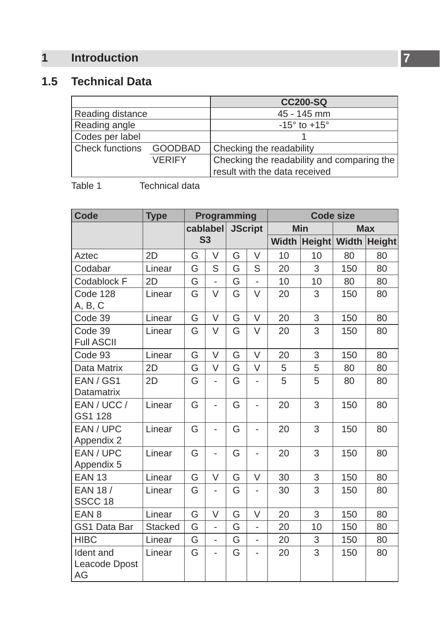# <span id="page-6-0"></span>**1 [Introduction](#page-3-1)**

# **1.5 Technical Data**

|                  |                | <b>CC200-SQ</b>                            |
|------------------|----------------|--------------------------------------------|
| Reading distance |                | 45 - 145 mm                                |
| Reading angle    |                | $-15^{\circ}$ to $+15^{\circ}$             |
| Codes per label  |                |                                            |
| Check functions  | <b>GOODBAD</b> | Checking the readability                   |
|                  | <b>VERIFY</b>  | Checking the readability and comparing the |
|                  |                | result with the data received              |

Table 1 Technical data

| <b>Code</b>                      | <b>Type</b> | Programming |                          |                       | <b>Code size</b>         |              |               |       |               |
|----------------------------------|-------------|-------------|--------------------------|-----------------------|--------------------------|--------------|---------------|-------|---------------|
|                                  |             | cablabel    |                          | <b>JScript</b><br>Min |                          |              | <b>Max</b>    |       |               |
|                                  |             |             | S <sub>3</sub>           |                       |                          | <b>Width</b> | <b>Height</b> | Width | <b>Height</b> |
| Aztec                            | 2D          | G           | V                        | G                     | V                        | 10           | 10            | 80    | 80            |
| Codabar                          | Linear      | G           | S                        | G                     | S                        | 20           | 3             | 150   | 80            |
| Codablock F                      | 2D          | G           | ÷,                       | G                     | ÷,                       | 10           | 10            | 80    | 80            |
| Code 128<br>A, B, C              | Linear      | G           | $\vee$                   | G                     | V                        | 20           | 3             | 150   | 80            |
| Code 39                          | Linear      | G           | $\vee$                   | G                     | $\vee$                   | 20           | 3             | 150   | 80            |
| Code 39<br><b>Full ASCII</b>     | Linear      | G           | V                        | G                     | V                        | 20           | 3             | 150   | 80            |
| Code 93                          | Linear      | G           | V                        | G                     | V                        | 20           | 3             | 150   | 80            |
| Data Matrix                      | 2D          | G           | V                        | G                     | V                        | 5            | 5             | 80    | 80            |
| EAN / GS1<br><b>Datamatrix</b>   | 2D          | G           | ÷,                       | G                     | -                        | 5            | 5             | 80    | 80            |
| EAN/UCC/<br>GS1 128              | Linear      | G           | ÷,                       | G                     | $\overline{\phantom{0}}$ | 20           | 3             | 150   | 80            |
| EAN / UPC<br>Appendix 2          | Linear      | G           | ٠                        | G                     | -                        | 20           | 3             | 150   | 80            |
| EAN / UPC<br>Appendix 5          | Linear      | G           | ÷,                       | G                     | ٠                        | 20           | 3             | 150   | 80            |
| <b>EAN 13</b>                    | Linear      | G           | $\vee$                   | G                     | $\vee$                   | 30           | 3             | 150   | 80            |
| EAN 18 /<br>SSCC 18              | Linear      | G           | ÷,                       | G                     | -                        | 30           | 3             | 150   | 80            |
| EAN <sub>8</sub>                 | Linear      | G           | V                        | G                     | V                        | 20           | 3             | 150   | 80            |
| GS1 Data Bar                     | Stacked     | G           | ä,                       | G                     | L,                       | 20           | 10            | 150   | 80            |
| <b>HIBC</b>                      | Linear      | G           | $\overline{a}$           | G                     | ÷,                       | 20           | 3             | 150   | 80            |
| Ident and<br>Leacode Dpost<br>AG | Linear      | G           | $\overline{\phantom{m}}$ | G                     | ٠                        | 20           | 3             | 150   | 80            |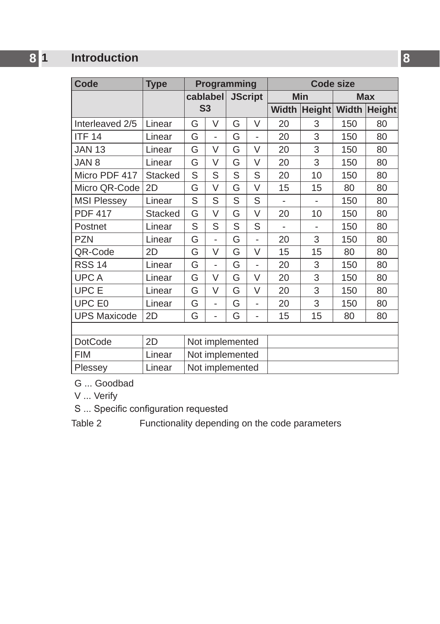# **8 1 [Introduction](#page-3-1) 8**

| Code                | <b>Type</b> | Programming     |                          |                |        | <b>Code size</b> |               |              |               |
|---------------------|-------------|-----------------|--------------------------|----------------|--------|------------------|---------------|--------------|---------------|
|                     |             | cablabel        |                          | <b>JScript</b> |        | <b>Min</b>       |               | <b>Max</b>   |               |
|                     |             |                 | S <sub>3</sub>           |                |        | <b>Width</b>     | <b>Height</b> | <b>Width</b> | <b>Height</b> |
| Interleaved 2/5     | Linear      | G               | $\vee$                   | G              | V      | 20               | 3             | 150          | 80            |
| <b>ITF 14</b>       | Linear      | G               | ä,                       | G              | ٠      | 20               | 3             | 150          | 80            |
| <b>JAN 13</b>       | Linear      | G               | $\vee$                   | G              | $\vee$ | 20               | 3             | 150          | 80            |
| JAN 8               | Linear      | G               | V                        | G              | V      | 20               | 3             | 150          | 80            |
| Micro PDF 417       | Stacked     | S               | S                        | S              | S      | 20               | 10            | 150          | 80            |
| Micro QR-Code       | 2D          | G               | $\vee$                   | G              | V      | 15               | 15            | 80           | 80            |
| <b>MSI Plessey</b>  | Linear      | S               | S                        | S              | S      |                  |               | 150          | 80            |
| <b>PDF 417</b>      | Stacked     | G               | $\vee$                   | G              | V      | 20               | 10            | 150          | 80            |
| Postnet             | Linear      | S               | S                        | S              | S      | ٠                |               | 150          | 80            |
| <b>PZN</b>          | Linear      | G               | ä,                       | G              | ٠      | 20               | 3             | 150          | 80            |
| QR-Code             | 2D          | G               | $\vee$                   | G              | V      | 15               | 15            | 80           | 80            |
| <b>RSS 14</b>       | Linear      | G               | ä,                       | G              | ÷,     | 20               | 3             | 150          | 80            |
| <b>UPCA</b>         | Linear      | G               | $\vee$                   | G              | V      | 20               | 3             | 150          | 80            |
| UPC E               | Linear      | G               | V                        | G              | V      | 20               | 3             | 150          | 80            |
| UPC E0              | Linear      | G               | $\overline{\phantom{a}}$ | G              | ٠      | 20               | 3             | 150          | 80            |
| <b>UPS Maxicode</b> | 2D          | G               | ÷,                       | G              | ä,     | 15               | 15            | 80           | 80            |
|                     |             |                 |                          |                |        |                  |               |              |               |
| <b>DotCode</b>      | 2D          | Not implemented |                          |                |        |                  |               |              |               |
| <b>FIM</b>          | Linear      |                 | Not implemented          |                |        |                  |               |              |               |
| Plessey             | Linear      | Not implemented |                          |                |        |                  |               |              |               |

G ... Goodbad

V ... Verify

S ... Specific configuration requested

Table 2 Functionality depending on the code parameters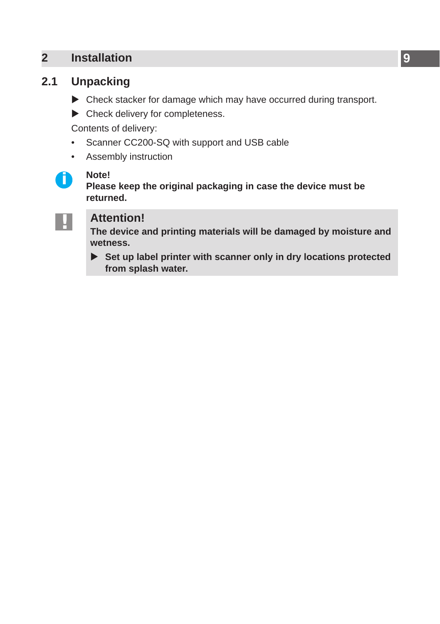# <span id="page-8-0"></span>**2 Installation 9**

# **2.1 Unpacking**

- <span id="page-8-1"></span> $\triangleright$  Check stacker for damage which may have occurred during transport.
- $\blacktriangleright$  Check delivery for completeness.

Contents of delivery:

- Scanner CC200-SQ with support and USB cable
- Assembly instruction



**i Note! Please keep the original packaging in case the device must be returned.**



**! Attention! The device and printing materials will be damaged by moisture and wetness.**

▶ Set up label printer with scanner only in dry locations protected **from splash water.**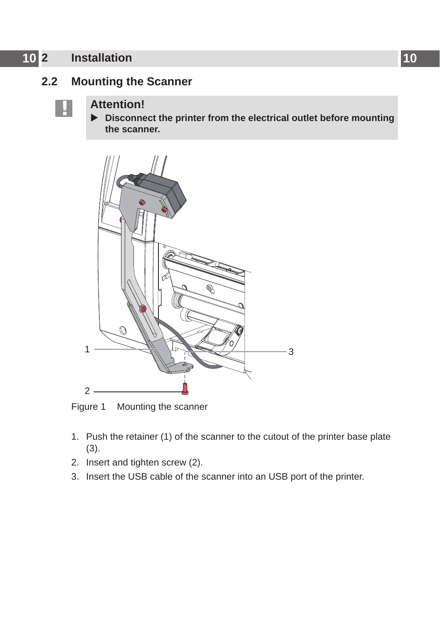# <span id="page-9-0"></span>**10 2 [Installation](#page-8-1) 10**

# **2.2 Mounting the Scanner**

**! Attention!** X **Disconnect the printer from the electrical outlet before mounting the scanner.**



Figure 1 Mounting the scanner

- 1. Push the retainer (1) of the scanner to the cutout of the printer base plate (3).
- 2. Insert and tighten screw (2).
- 3. Insert the USB cable of the scanner into an USB port of the printer.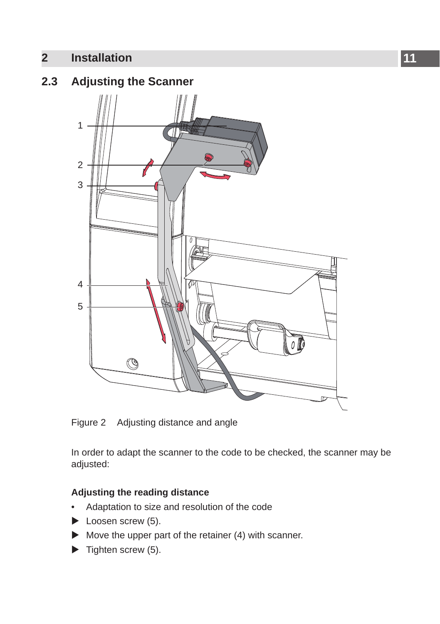# <span id="page-10-0"></span>**2 [Installation](#page-8-1)**

# **2.3 Adjusting the Scanner**



Figure 2 Adjusting distance and angle

In order to adapt the scanner to the code to be checked, the scanner may be adjusted:

### **Adjusting the reading distance**

- Adaptation to size and resolution of the code
- $\blacktriangleright$  Loosen screw (5).
- $\blacktriangleright$  Move the upper part of the retainer (4) with scanner.
- $\blacktriangleright$  Tighten screw (5).

**11**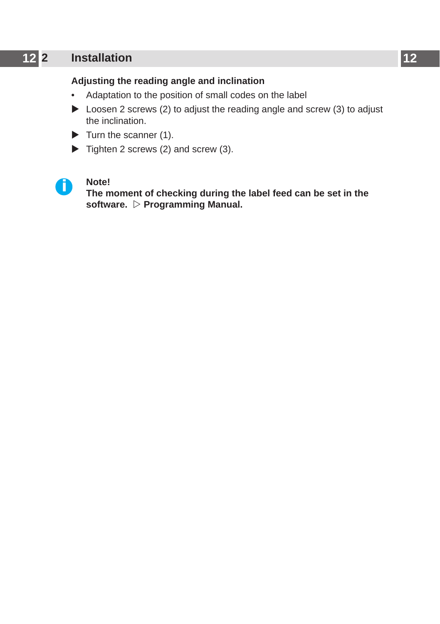# **12 2 [Installation](#page-8-1) 12**

### **Adjusting the reading angle and inclination**

- Adaptation to the position of small codes on the label
- $\triangleright$  Loosen 2 screws (2) to adjust the reading angle and screw (3) to adjust the inclination.
- $\blacktriangleright$  Turn the scanner (1).
- $\triangleright$  Tighten 2 screws (2) and screw (3).



**i Note! The moment of checking during the label feed can be set in the**  software. *Programming Manual.*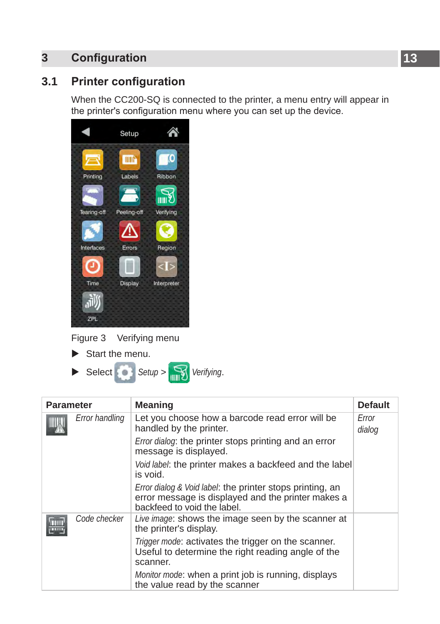# <span id="page-12-0"></span>**3 Configuration 13**

# **3.1 Printer configuration**

<span id="page-12-1"></span>When the CC200-SQ is connected to the printer, a menu entry will appear in the printer's configuration menu where you can set up the device.

|             | Setup          |              |
|-------------|----------------|--------------|
|             | mn             | $\mathbf{C}$ |
| Printing    | Labels         | Ribbon       |
|             | Y.             | गा।। १       |
| Tearing-off | Peeling-off    | Verifying    |
|             |                |              |
| Interfaces  | Errors         | Region       |
|             |                |              |
| Time        | <b>Display</b> | Interpreter  |
|             |                |              |
| ZPL         |                |              |

Figure 3 Verifying menu

 $\blacktriangleright$  Start the menu.



| <b>Parameter</b> |                | <b>Meaning</b>                                                                                                                                            | <b>Default</b>  |
|------------------|----------------|-----------------------------------------------------------------------------------------------------------------------------------------------------------|-----------------|
|                  | Error handling | Let you choose how a barcode read error will be<br>handled by the printer.                                                                                | Error<br>dialog |
|                  |                | Error dialog: the printer stops printing and an error<br>message is displayed.                                                                            |                 |
|                  |                | Void label: the printer makes a backfeed and the label<br>is void.                                                                                        |                 |
|                  |                | <i>Error dialog &amp; Void label:</i> the printer stops printing, an<br>error message is displayed and the printer makes a<br>backfeed to void the label. |                 |
|                  | Code checker   | Live image: shows the image seen by the scanner at<br>the printer's display.                                                                              |                 |
|                  |                | Trigger mode: activates the trigger on the scanner.<br>Useful to determine the right reading angle of the<br>scanner.                                     |                 |
|                  |                | Monitor mode: when a print job is running, displays<br>the value read by the scanner                                                                      |                 |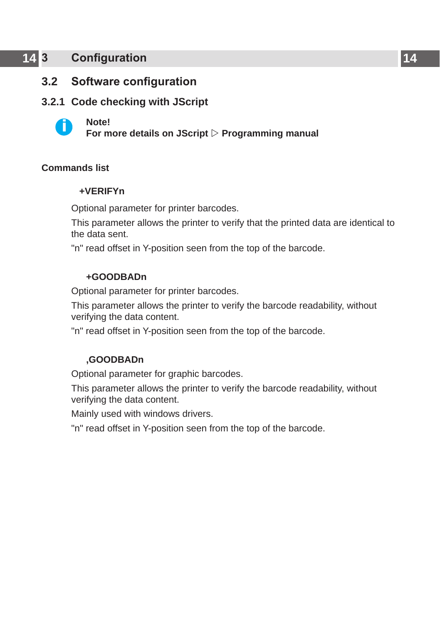# <span id="page-13-0"></span>**14 [3 Configuration](#page-12-1) 14**

### **3.2 Software configuration**

### **3.2.1 Code checking with JScript**



**i Note! For more details on JScript Programming manual**

### **Commands list**

#### **+VERIFYn**

Optional parameter for printer barcodes.

This parameter allows the printer to verify that the printed data are identical to the data sent.

"n" read offset in Y-position seen from the top of the barcode.

#### **+GOODBADn**

Optional parameter for printer barcodes.

This parameter allows the printer to verify the barcode readability, without verifying the data content.

"n" read offset in Y-position seen from the top of the barcode.

#### **,GOODBADn**

Optional parameter for graphic barcodes.

This parameter allows the printer to verify the barcode readability, without verifying the data content.

Mainly used with windows drivers.

"n" read offset in Y-position seen from the top of the barcode.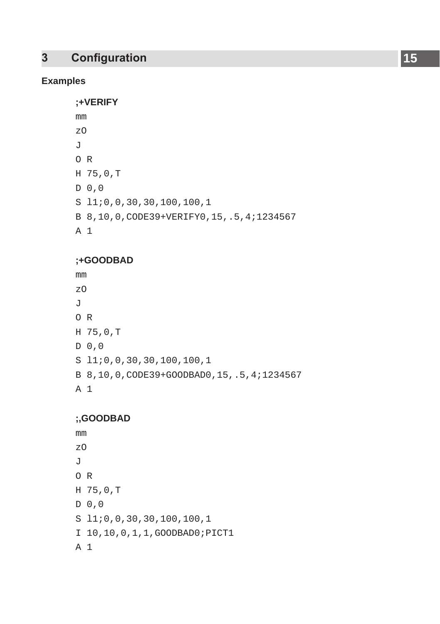# **15 Configuration 15**

### **Examples**

**;+VERIFY**

| mm             |                                                |
|----------------|------------------------------------------------|
| z0             |                                                |
| $\overline{J}$ |                                                |
| $O$ R          |                                                |
|                | H 75,0,T                                       |
|                | D <sub>0</sub> , 0                             |
|                | $S$ 11;0,0,30,30,100,100,1                     |
|                | B 8, 10, 0, CODE39+VERIFY0, 15, .5, 4; 1234567 |
| A 1            |                                                |

### **;+GOODBAD**

```
mm
zO
J
O R
H 75,0,T
D 0,0
S l1;0,0,30,30,100,100,1
B 8,10,0,CODE39+GOODBAD0,15,.5,4;1234567
A 1
```
### **;,GOODBAD**

mm zO  $J$ O R H 75,0,T D 0,0 S l1;0,0,30,30,100,100,1 I 10,10,0,1,1,GOODBAD0;PICT1 A 1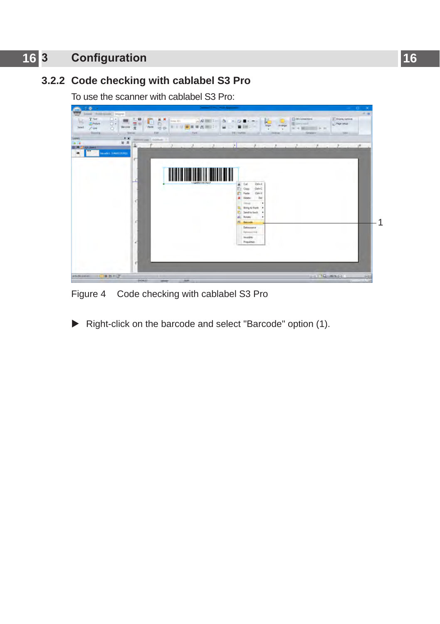# **16 16 [3 Configuration](#page-12-1)**

# **3.2.2 Code checking with cablabel S3 Pro**

To use the scanner with cablabel S3 Pro:



Figure 4 Code checking with cablabel S3 Pro

 $\blacktriangleright$  Right-click on the barcode and select "Barcode" option (1).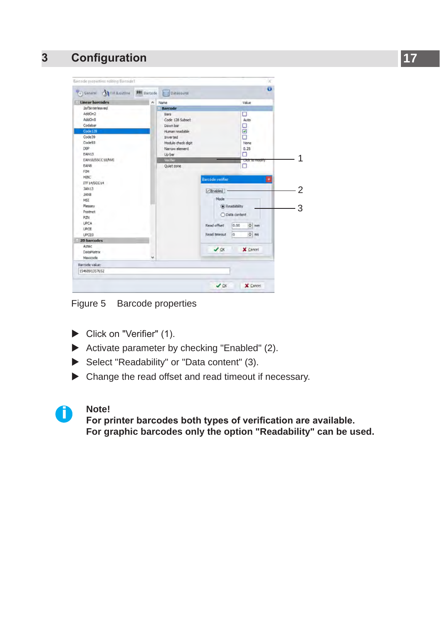# **[3 Configuration](#page-12-1)**



Figure 5 Barcode properties

- $\blacktriangleright$  Click on "Verifier" (1).
- $\blacktriangleright$  Activate parameter by checking "Enabled" (2).
- Select "Readability" or "Data content" (3).
- $\blacktriangleright$  Change the read offset and read timeout if necessary.



**i Note! For printer barcodes both types of verification are available. For graphic barcodes only the option "Readability" can be used.**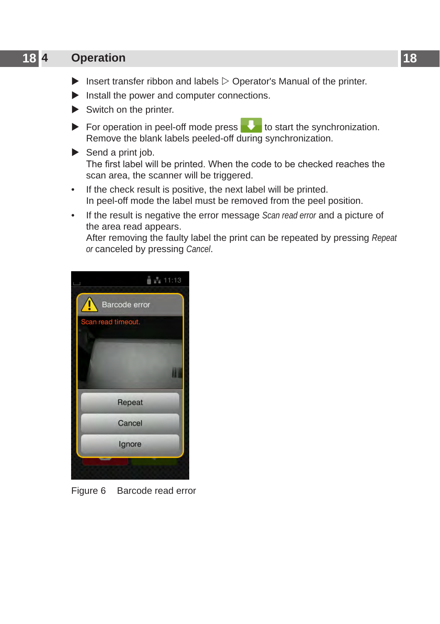# <span id="page-17-0"></span>**18 4 Operation 18**

- $\blacktriangleright$  Insert transfer ribbon and labels  $\triangleright$  Operator's Manual of the printer.
- $\blacktriangleright$  Install the power and computer connections.
- $\blacktriangleright$  Switch on the printer.
- $\triangleright$  For operation in peel-off mode press to start the synchronization. Remove the blank labels peeled-off during synchronization.
- $\blacktriangleright$  Send a print job. The first label will be printed. When the code to be checked reaches the scan area, the scanner will be triggered.
- If the check result is positive, the next label will be printed. In peel-off mode the label must be removed from the peel position.
- If the result is negative the error message *Scan read error* and a picture of the area read appears.

After removing the faulty label the print can be repeated by pressing *Repeat or* canceled by pressing *Cancel*.



Figure 6 Barcode read error